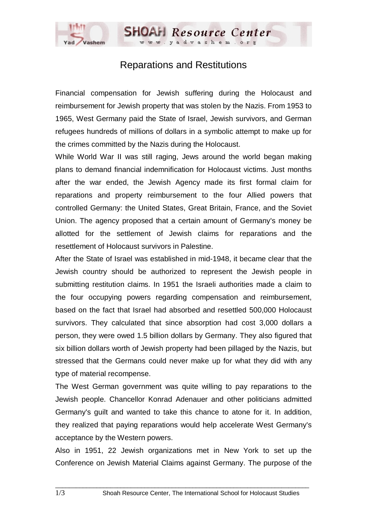

**SHOAH Resource Center** 

Financial compensation for Jewish suffering during the Holocaust and reimbursement for Jewish property that was stolen by the Nazis. From 1953 to 1965, West Germany paid the State of Israel, Jewish survivors, and German refugees hundreds of millions of dollars in a symbolic attempt to make up for the crimes committed by the Nazis during the Holocaust.

While World War II was still raging, Jews around the world began making plans to demand financial indemnification for Holocaust victims. Just months after the war ended, the Jewish Agency made its first formal claim for reparations and property reimbursement to the four Allied powers that controlled Germany: the United States, Great Britain, France, and the Soviet Union. The agency proposed that a certain amount of Germany's money be allotted for the settlement of Jewish claims for reparations and the resettlement of Holocaust survivors in Palestine.

After the State of Israel was established in mid-1948, it became clear that the Jewish country should be authorized to represent the Jewish people in submitting restitution claims. In 1951 the Israeli authorities made a claim to the four occupying powers regarding compensation and reimbursement, based on the fact that Israel had absorbed and resettled 500,000 Holocaust survivors. They calculated that since absorption had cost 3,000 dollars a person, they were owed 1.5 billion dollars by Germany. They also figured that six billion dollars worth of Jewish property had been pillaged by the Nazis, but stressed that the Germans could never make up for what they did with any type of material recompense.

The West German government was quite willing to pay reparations to the Jewish people. Chancellor Konrad Adenauer and other politicians admitted Germany's guilt and wanted to take this chance to atone for it. In addition, they realized that paying reparations would help accelerate West Germany's acceptance by the Western powers.

Also in 1951, 22 Jewish organizations met in New York to set up the Conference on Jewish Material Claims against Germany. The purpose of the

 $\Box$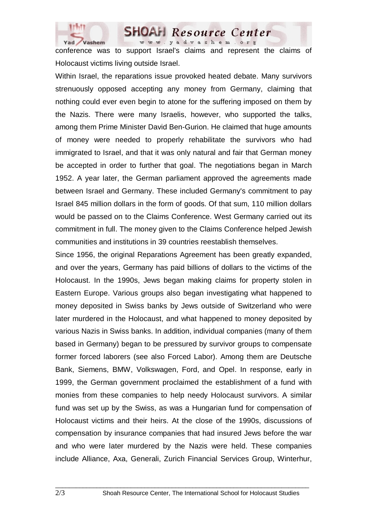

**SHOAH** Resource Center www.yadvashem.org

conference was to support Israel's claims and represent the claims of Holocaust victims living outside Israel.

Within Israel, the reparations issue provoked heated debate. Many survivors strenuously opposed accepting any money from Germany, claiming that nothing could ever even begin to atone for the suffering imposed on them by the Nazis. There were many Israelis, however, who supported the talks, among them Prime Minister David Ben-Gurion. He claimed that huge amounts of money were needed to properly rehabilitate the survivors who had immigrated to Israel, and that it was only natural and fair that German money be accepted in order to further that goal. The negotiations began in March 1952. A year later, the German parliament approved the agreements made between Israel and Germany. These included Germany's commitment to pay Israel 845 million dollars in the form of goods. Of that sum, 110 million dollars would be passed on to the Claims Conference. West Germany carried out its commitment in full. The money given to the Claims Conference helped Jewish communities and institutions in 39 countries reestablish themselves.

Since 1956, the original Reparations Agreement has been greatly expanded, and over the years, Germany has paid billions of dollars to the victims of the Holocaust. In the 1990s, Jews began making claims for property stolen in Eastern Europe. Various groups also began investigating what happened to money deposited in Swiss banks by Jews outside of Switzerland who were later murdered in the Holocaust, and what happened to money deposited by various Nazis in Swiss banks. In addition, individual companies (many of them based in Germany) began to be pressured by survivor groups to compensate former forced laborers (see also Forced Labor). Among them are Deutsche Bank, Siemens, BMW, Volkswagen, Ford, and Opel. In response, early in 1999, the German government proclaimed the establishment of a fund with monies from these companies to help needy Holocaust survivors. A similar fund was set up by the Swiss, as was a Hungarian fund for compensation of Holocaust victims and their heirs. At the close of the 1990s, discussions of compensation by insurance companies that had insured Jews before the war and who were later murdered by the Nazis were held. These companies include Alliance, Axa, Generali, Zurich Financial Services Group, Winterhur,

 $\Box$